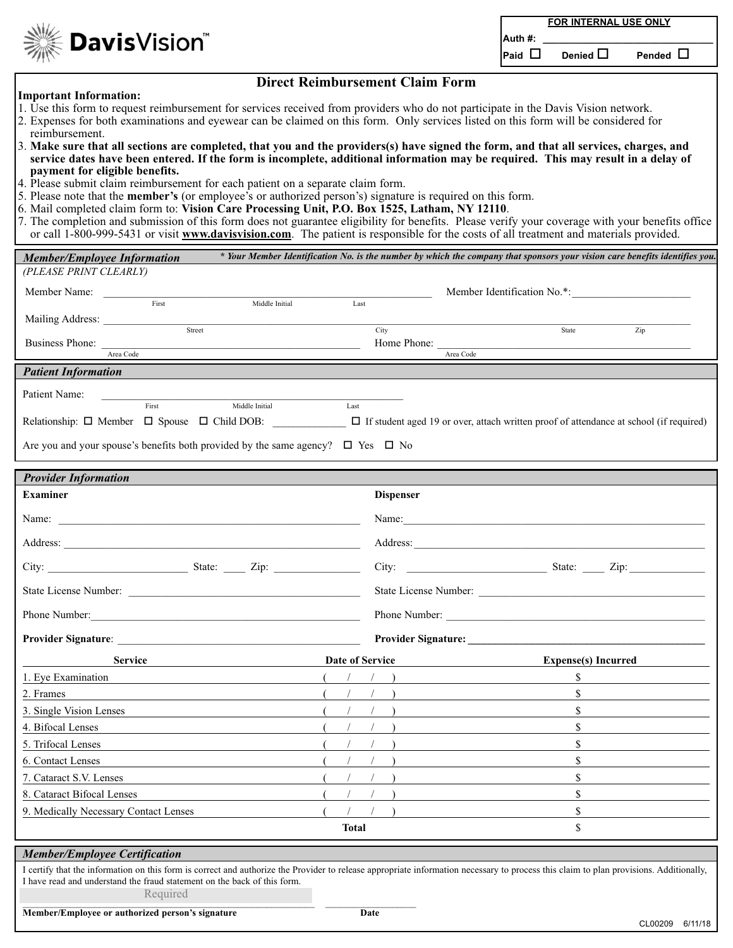**FOR INTERNAL USE ONLY**

 $P$ aid  $\Box$  **Denied**  $\Box$  **Pended**  $\Box$ 

## **Important Information:**

**Davis**Vision®

## **Direct Reimbursement Claim Form**

- 1. Use this form to request reimbursement for services received from providers who do not participate in the Davis Vision network.
- 2. Expenses for both examinations and eyewear can be claimed on this form. Only services listed on this form will be considered for reimbursement.
- 3. **Make sure that all sections are completed, that you and the providers(s) have signed the form, and that all services, charges, and service dates have been entered. If the form is incomplete, additional information may be required. This may result in a delay of payment for eligible benefits.**
- 4. Please submit claim reimbursement for each patient on a separate claim form.
- 5. Please note that the **member's** (or employee's or authorized person's) signature is required on this form.
- 6. Mail completed claim form to: **Vision Care Processing Unit, P.O. Box 1525, Latham, NY 12110**.
- 7. The completion and submission of this form does not guarantee eligibility for benefits. Please verify your coverage with your benefits office or call 1-800-999-5431 or visit **www.davisvision.com**. The patient is responsible for the costs of all treatment and materials provided.

| <b>Member/Employee Information</b>                                                                                                                                                                                                                                             |                 |                  | * Your Member Identification No. is the number by which the company that sponsors your vision care benefits identifies you. |
|--------------------------------------------------------------------------------------------------------------------------------------------------------------------------------------------------------------------------------------------------------------------------------|-----------------|------------------|-----------------------------------------------------------------------------------------------------------------------------|
| (PLEASE PRINT CLEARLY)                                                                                                                                                                                                                                                         |                 |                  |                                                                                                                             |
| Member Name:                                                                                                                                                                                                                                                                   |                 |                  | Member Identification No.*:                                                                                                 |
| First<br>Middle Initial                                                                                                                                                                                                                                                        | Last            |                  |                                                                                                                             |
| Street                                                                                                                                                                                                                                                                         |                 | City             | State<br>Zip                                                                                                                |
| <b>Business Phone:</b><br>Area Code                                                                                                                                                                                                                                            |                 | Home Phone:      | Area Code                                                                                                                   |
|                                                                                                                                                                                                                                                                                |                 |                  |                                                                                                                             |
| <b>Patient Information</b>                                                                                                                                                                                                                                                     |                 |                  |                                                                                                                             |
| Patient Name:<br>First<br>Middle Initial                                                                                                                                                                                                                                       | Last            |                  |                                                                                                                             |
| Relationship: $\Box$ Member $\Box$ Spouse $\Box$ Child DOB: $\Box$ If student aged 19 or over, attach written proof of attendance at school (if required)                                                                                                                      |                 |                  |                                                                                                                             |
|                                                                                                                                                                                                                                                                                |                 |                  |                                                                                                                             |
| Are you and your spouse's benefits both provided by the same agency? $\Box$ Yes $\Box$ No                                                                                                                                                                                      |                 |                  |                                                                                                                             |
|                                                                                                                                                                                                                                                                                |                 |                  |                                                                                                                             |
| <b>Provider Information</b>                                                                                                                                                                                                                                                    |                 |                  |                                                                                                                             |
| <b>Examiner</b>                                                                                                                                                                                                                                                                |                 | <b>Dispenser</b> |                                                                                                                             |
|                                                                                                                                                                                                                                                                                |                 |                  |                                                                                                                             |
|                                                                                                                                                                                                                                                                                |                 |                  |                                                                                                                             |
| City: State: Zip:                                                                                                                                                                                                                                                              |                 |                  | City: <u>City:</u> State: <u>City:</u> 2ip:                                                                                 |
|                                                                                                                                                                                                                                                                                |                 |                  |                                                                                                                             |
|                                                                                                                                                                                                                                                                                |                 |                  |                                                                                                                             |
|                                                                                                                                                                                                                                                                                |                 |                  |                                                                                                                             |
| <b>Service</b>                                                                                                                                                                                                                                                                 | Date of Service |                  | <b>Expense(s)</b> Incurred                                                                                                  |
| 1. Eye Examination                                                                                                                                                                                                                                                             |                 |                  | $\mathbb{S}$                                                                                                                |
| 2. Frames                                                                                                                                                                                                                                                                      |                 |                  | \$                                                                                                                          |
| 3. Single Vision Lenses<br>the control of the control of the control of the control of the control of the control of                                                                                                                                                           |                 |                  | \$                                                                                                                          |
| 4. Bifocal Lenses                                                                                                                                                                                                                                                              |                 |                  | $\mathbf S$                                                                                                                 |
| 5. Trifocal Lenses                                                                                                                                                                                                                                                             |                 |                  | \$                                                                                                                          |
| 6. Contact Lenses<br>the control of the control of the control of the control of the control of the control of                                                                                                                                                                 |                 |                  | \$                                                                                                                          |
| 7. Cataract S.V. Lenses                                                                                                                                                                                                                                                        |                 |                  | $\mathbb S$                                                                                                                 |
| 8. Cataract Bifocal Lenses                                                                                                                                                                                                                                                     |                 |                  | \$                                                                                                                          |
| 9. Medically Necessary Contact Lenses                                                                                                                                                                                                                                          |                 |                  | \$                                                                                                                          |
|                                                                                                                                                                                                                                                                                | <b>Total</b>    |                  | \$                                                                                                                          |
| <b>Member/Employee Certification</b>                                                                                                                                                                                                                                           |                 |                  |                                                                                                                             |
| I certify that the information on this form is correct and authorize the Provider to release appropriate information necessary to process this claim to plan provisions. Additionally,<br>I have read and understand the fraud statement on the back of this form.<br>Required |                 |                  |                                                                                                                             |
|                                                                                                                                                                                                                                                                                |                 |                  |                                                                                                                             |

**Member/Employee or authorized person's signature Date** Date